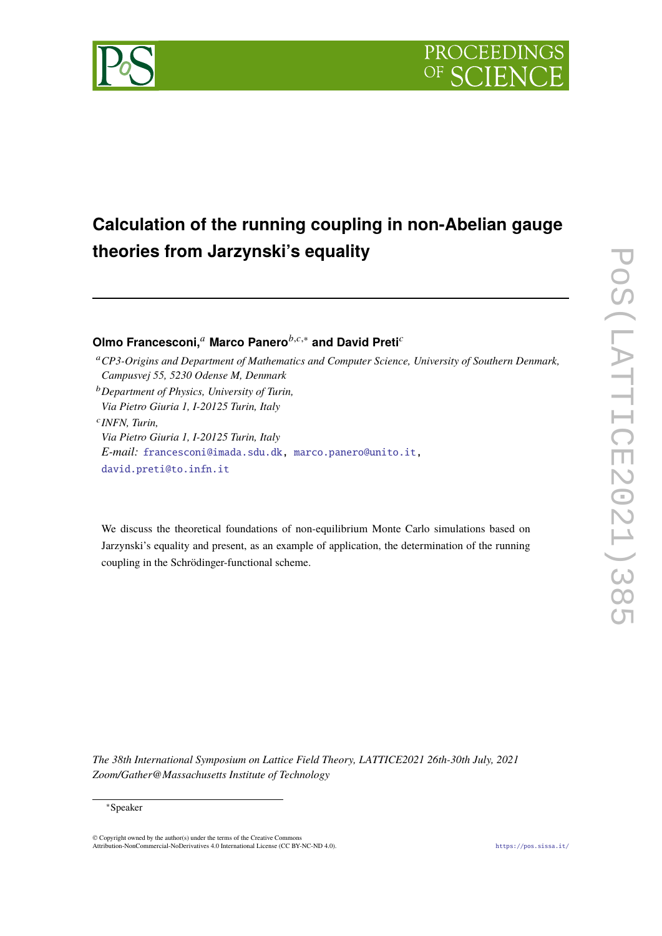

# **Calculation of the running coupling in non-Abelian gauge theories from Jarzynski's equality**

**Olmo Francesconi,**<sup>*a*</sup> Marco Panero<sup>*b,c,∗*</sup> and David Preti<sup>*c*</sup>

- <sup>a</sup> CP3-Origins and Department of Mathematics and Computer Science, University of Southern Denmark, *Campusvej 55, 5230 Odense M, Denmark*
- <sup>𝑏</sup>*Department of Physics, University of Turin, Via Pietro Giuria 1, I-20125 Turin, Italy*

𝑐 *INFN, Turin, Via Pietro Giuria 1, I-20125 Turin, Italy E-mail:* [francesconi@imada.sdu.dk,](mailto:francesconi@imada.sdu.dk) [marco.panero@unito.it,](mailto:marco.panero@unito.it) [david.preti@to.infn.it](mailto:david.preti@to.infn.it)

We discuss the theoretical foundations of non-equilibrium Monte Carlo simulations based on Jarzynski's equality and present, as an example of application, the determination of the running coupling in the Schrödinger-functional scheme.

*The 38th International Symposium on Lattice Field Theory, LATTICE2021 26th-30th July, 2021 Zoom/Gather@Massachusetts Institute of Technology*

<sup>∗</sup>Speaker

<sup>©</sup> Copyright owned by the author(s) under the terms of the Creative Common Attribution-NonCommercial-NoDerivatives 4.0 International License (CC BY-NC-ND 4.0). <https://pos.sissa.it/>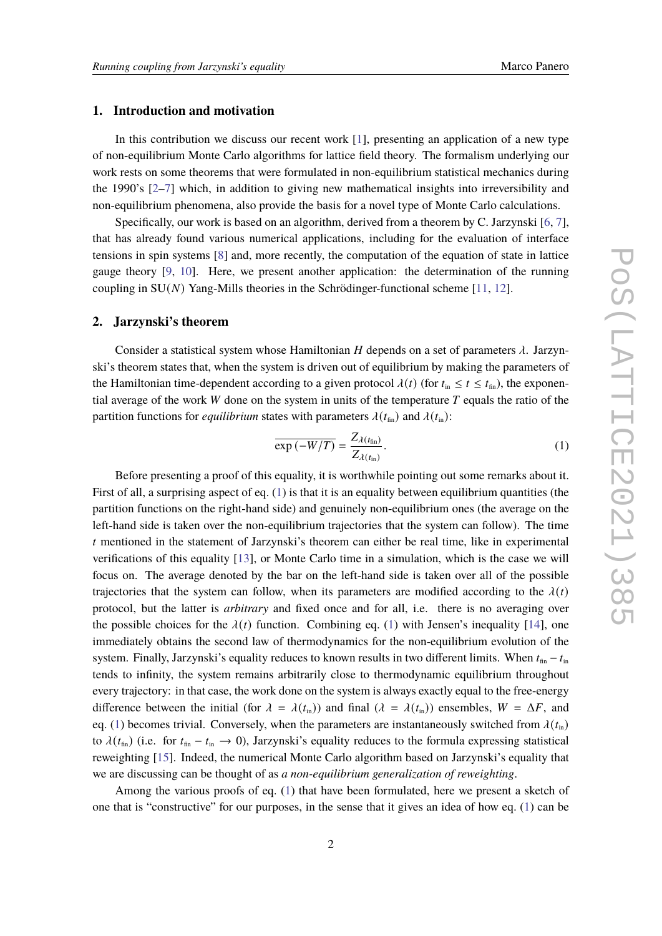# **1. Introduction and motivation**

In this contribution we discuss our recent work [\[1\]](#page-5-0), presenting an application of a new type of non-equilibrium Monte Carlo algorithms for lattice field theory. The formalism underlying our work rests on some theorems that were formulated in non-equilibrium statistical mechanics during the 1990's [\[2–](#page-5-1)[7\]](#page-6-0) which, in addition to giving new mathematical insights into irreversibility and non-equilibrium phenomena, also provide the basis for a novel type of Monte Carlo calculations.

Specifically, our work is based on an algorithm, derived from a theorem by C. Jarzynski [\[6,](#page-6-1) [7\]](#page-6-0), that has already found various numerical applications, including for the evaluation of interface tensions in spin systems [\[8\]](#page-6-2) and, more recently, the computation of the equation of state in lattice gauge theory [\[9,](#page-6-3) [10\]](#page-6-4). Here, we present another application: the determination of the running coupling in  $SU(N)$  Yang-Mills theories in the Schrödinger-functional scheme [\[11,](#page-6-5) [12\]](#page-6-6).

### **2. Jarzynski's theorem**

Consider a statistical system whose Hamiltonian  $H$  depends on a set of parameters  $\lambda$ . Jarzynski's theorem states that, when the system is driven out of equilibrium by making the parameters of the Hamiltonian time-dependent according to a given protocol  $\lambda(t)$  (for  $t_{\text{in}} \le t \le t_{\text{fin}}$ ), the exponential average of the work  $W$  done on the system in units of the temperature  $T$  equals the ratio of the partition functions for *equilibrium* states with parameters  $\lambda(t_{\text{fin}})$  and  $\lambda(t_{\text{in}})$ :

<span id="page-1-0"></span>
$$
\overline{\exp\left(-W/T\right)} = \frac{Z_{\lambda(t_{\text{fin}})}}{Z_{\lambda(t_{\text{in}})}}.\tag{1}
$$

Before presenting a proof of this equality, it is worthwhile pointing out some remarks about it. First of all, a surprising aspect of eq. [\(1\)](#page-1-0) is that it is an equality between equilibrium quantities (the partition functions on the right-hand side) and genuinely non-equilibrium ones (the average on the left-hand side is taken over the non-equilibrium trajectories that the system can follow). The time  $t$  mentioned in the statement of Jarzynski's theorem can either be real time, like in experimental verifications of this equality [\[13\]](#page-6-7), or Monte Carlo time in a simulation, which is the case we will focus on. The average denoted by the bar on the left-hand side is taken over all of the possible trajectories that the system can follow, when its parameters are modified according to the  $\lambda(t)$ protocol, but the latter is *arbitrary* and fixed once and for all, i.e. there is no averaging over the possible choices for the  $\lambda(t)$  function. Combining eq. [\(1\)](#page-1-0) with Jensen's inequality [\[14\]](#page-6-8), one immediately obtains the second law of thermodynamics for the non-equilibrium evolution of the system. Finally, Jarzynski's equality reduces to known results in two different limits. When  $t_{fin} - t_{in}$ tends to infinity, the system remains arbitrarily close to thermodynamic equilibrium throughout every trajectory: in that case, the work done on the system is always exactly equal to the free-energy difference between the initial (for  $\lambda = \lambda(t_{\text{in}})$ ) and final  $(\lambda = \lambda(t_{\text{in}}))$  ensembles,  $W = \Delta F$ , and eq. [\(1\)](#page-1-0) becomes trivial. Conversely, when the parameters are instantaneously switched from  $\lambda(t_{\text{in}})$ to  $\lambda(t_{fin})$  (i.e. for  $t_{fin} - t_{in} \to 0$ ), Jarzynski's equality reduces to the formula expressing statistical reweighting [\[15\]](#page-6-9). Indeed, the numerical Monte Carlo algorithm based on Jarzynski's equality that we are discussing can be thought of as *a non-equilibrium generalization of reweighting*.

Among the various proofs of eq. [\(1\)](#page-1-0) that have been formulated, here we present a sketch of one that is "constructive" for our purposes, in the sense that it gives an idea of how eq. [\(1\)](#page-1-0) can be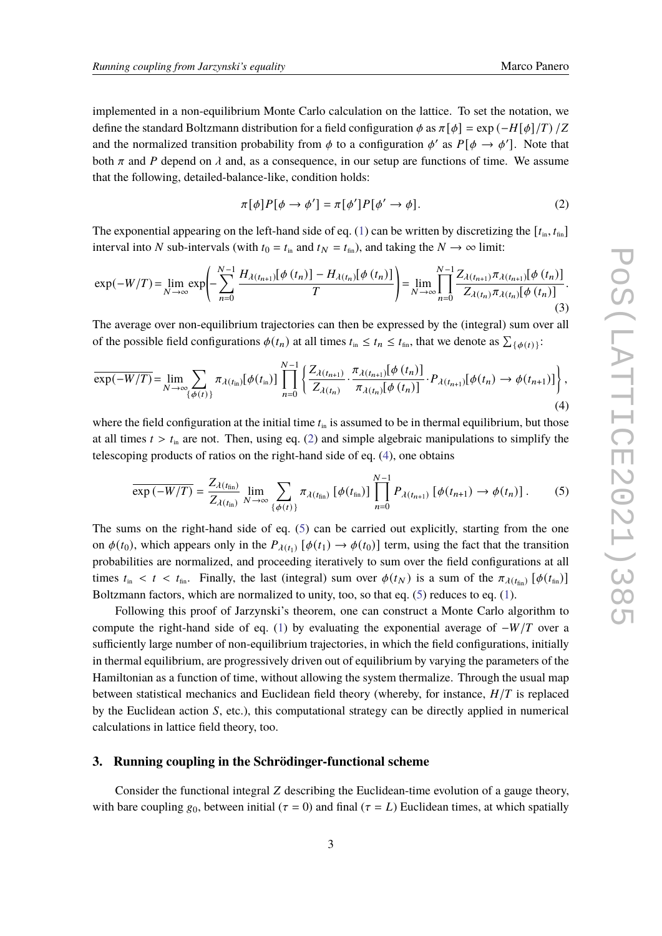implemented in a non-equilibrium Monte Carlo calculation on the lattice. To set the notation, we define the standard Boltzmann distribution for a field configuration  $\phi$  as  $\pi[\phi] = \exp(-H[\phi]/T)/Z$ and the normalized transition probability from  $\phi$  to a configuration  $\phi'$  as  $P[\phi \to \phi']$ . Note that both  $\pi$  and P depend on  $\lambda$  and, as a consequence, in our setup are functions of time. We assume that the following, detailed-balance-like, condition holds:

<span id="page-2-0"></span>
$$
\pi[\phi]P[\phi \to \phi'] = \pi[\phi']P[\phi' \to \phi]. \tag{2}
$$

The exponential appearing on the left-hand side of eq. [\(1\)](#page-1-0) can be written by discretizing the  $[t_{\text{in}}, t_{\text{fin}}]$ interval into N sub-intervals (with  $t_0 = t_{\text{in}}$  and  $t_N = t_{\text{fin}}$ ), and taking the  $N \to \infty$  limit:

$$
\exp(-W/T) = \lim_{N \to \infty} \exp\left(-\sum_{n=0}^{N-1} \frac{H_{\lambda(t_{n+1})}[\phi(t_n)] - H_{\lambda(t_n)}[\phi(t_n)]}{T}\right) = \lim_{N \to \infty} \prod_{n=0}^{N-1} \frac{Z_{\lambda(t_{n+1})}\pi_{\lambda(t_{n+1})}[\phi(t_n)]}{Z_{\lambda(t_n)}\pi_{\lambda(t_n)}[\phi(t_n)]}.
$$
\n(3)

The average over non-equilibrium trajectories can then be expressed by the (integral) sum over all of the possible field configurations  $\phi(t_n)$  at all times  $t_{\text{in}} \leq t_n \leq t_{\text{fin}}$ , that we denote as  $\sum_{\{\phi(t)\}}$ :

<span id="page-2-1"></span>
$$
\overline{\exp(-W/T)} = \lim_{N \to \infty} \sum_{\{\phi(t)\}} \pi_{\lambda(t_{\text{in}})}[\phi(t_{\text{in}})] \prod_{n=0}^{N-1} \left\{ \frac{Z_{\lambda(t_{n+1})}}{Z_{\lambda(t_n)}} \cdot \frac{\pi_{\lambda(t_{n+1})}[\phi(t_n)]}{\pi_{\lambda(t_n)}[\phi(t_n)]} \cdot P_{\lambda(t_{n+1})}[\phi(t_n) \to \phi(t_{n+1})] \right\},\tag{4}
$$

where the field configuration at the initial time  $t_{\text{in}}$  is assumed to be in thermal equilibrium, but those at all times  $t > t_{\text{in}}$  are not. Then, using eq. [\(2\)](#page-2-0) and simple algebraic manipulations to simplify the telescoping products of ratios on the right-hand side of eq. [\(4\)](#page-2-1), one obtains

<span id="page-2-2"></span>
$$
\overline{\exp\left(-W/T\right)} = \frac{Z_{\lambda\left(t_{\text{fin}}\right)}}{Z_{\lambda\left(t_{\text{in}}\right)}} \lim_{N \to \infty} \sum_{\{\phi\left(t\right)\}} \pi_{\lambda\left(t_{\text{fin}}\right)} \left[\phi\left(t_{\text{fin}}\right)\right] \prod_{n=0}^{N-1} P_{\lambda\left(t_{n+1}\right)} \left[\phi\left(t_{n+1}\right) \to \phi\left(t_{n}\right)\right]. \tag{5}
$$

The sums on the right-hand side of eq. [\(5\)](#page-2-2) can be carried out explicitly, starting from the one on  $\phi(t_0)$ , which appears only in the  $P_{\lambda(t_1)}$  [ $\phi(t_1) \rightarrow \phi(t_0)$ ] term, using the fact that the transition probabilities are normalized, and proceeding iteratively to sum over the field configurations at all times  $t_{\text{in}} < t < t_{\text{fin}}$ . Finally, the last (integral) sum over  $\phi(t_N)$  is a sum of the  $\pi_{\lambda(t_{\text{fin}})}[\phi(t_{\text{fin}})]$ Boltzmann factors, which are normalized to unity, too, so that eq. [\(5\)](#page-2-2) reduces to eq. [\(1\)](#page-1-0).

Following this proof of Jarzynski's theorem, one can construct a Monte Carlo algorithm to compute the right-hand side of eq. [\(1\)](#page-1-0) by evaluating the exponential average of  $-W/T$  over a sufficiently large number of non-equilibrium trajectories, in which the field configurations, initially in thermal equilibrium, are progressively driven out of equilibrium by varying the parameters of the Hamiltonian as a function of time, without allowing the system thermalize. Through the usual map between statistical mechanics and Euclidean field theory (whereby, for instance,  $H/T$  is replaced by the Euclidean action  $S$ , etc.), this computational strategy can be directly applied in numerical calculations in lattice field theory, too.

### **3. Running coupling in the Schrödinger-functional scheme**

Consider the functional integral  $Z$  describing the Euclidean-time evolution of a gauge theory, with bare coupling  $g_0$ , between initial ( $\tau = 0$ ) and final ( $\tau = L$ ) Euclidean times, at which spatially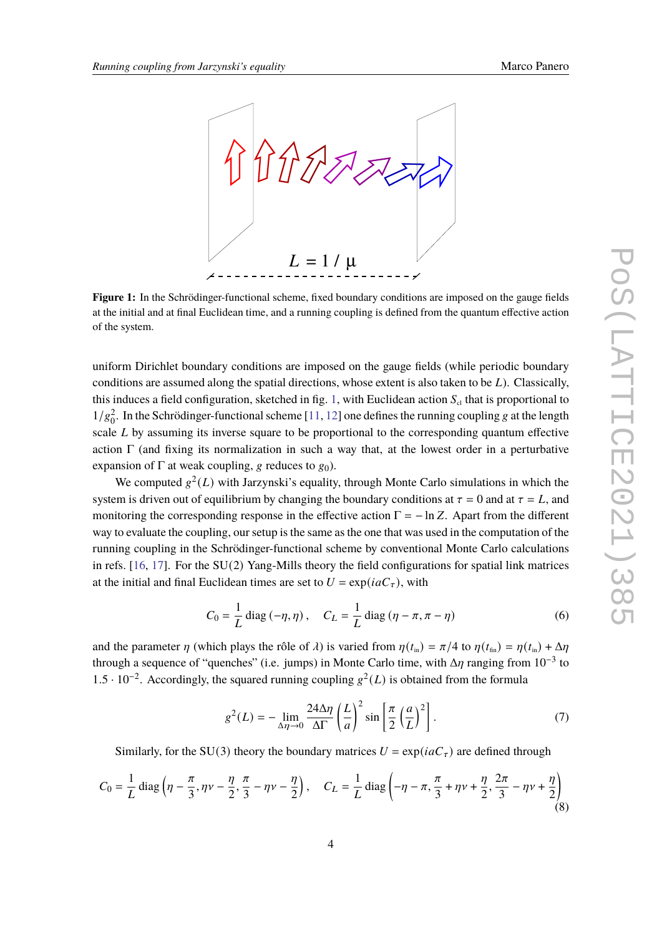<span id="page-3-0"></span>

**Figure 1:** In the Schrödinger-functional scheme, fixed boundary conditions are imposed on the gauge fields at the initial and at final Euclidean time, and a running coupling is defined from the quantum effective action of the system.

uniform Dirichlet boundary conditions are imposed on the gauge fields (while periodic boundary conditions are assumed along the spatial directions, whose extent is also taken to be  $L$ ). Classically, this induces a field configuration, sketched in fig. [1,](#page-3-0) with Euclidean action  $S_{cl}$  that is proportional to  $1/g_0^2$ . In the Schrödinger-functional scheme [\[11,](#page-6-5) [12\]](#page-6-6) one defines the running coupling g at the length scale  $L$  by assuming its inverse square to be proportional to the corresponding quantum effective action  $\Gamma$  (and fixing its normalization in such a way that, at the lowest order in a perturbative expansion of  $\Gamma$  at weak coupling, g reduces to  $g_0$ ).

We computed  $g^2(L)$  with Jarzynski's equality, through Monte Carlo simulations in which the system is driven out of equilibrium by changing the boundary conditions at  $\tau = 0$  and at  $\tau = L$ , and monitoring the corresponding response in the effective action  $\Gamma = -\ln Z$ . Apart from the different way to evaluate the coupling, our setup is the same as the one that was used in the computation of the running coupling in the Schrödinger-functional scheme by conventional Monte Carlo calculations in refs. [\[16,](#page-6-10) [17\]](#page-6-11). For the SU(2) Yang-Mills theory the field configurations for spatial link matrices at the initial and final Euclidean times are set to  $U = \exp(i a C_{\tau})$ , with

$$
C_0 = \frac{1}{L} \operatorname{diag}(-\eta, \eta), \quad C_L = \frac{1}{L} \operatorname{diag}(\eta - \pi, \pi - \eta)
$$
 (6)

and the parameter  $\eta$  (which plays the rôle of  $\lambda$ ) is varied from  $\eta(t_{\text{in}}) = \pi/4$  to  $\eta(t_{\text{fin}}) = \eta(t_{\text{in}}) + \Delta \eta$ through a sequence of "quenches" (i.e. jumps) in Monte Carlo time, with  $\Delta \eta$  ranging from  $10^{-3}$  to 1.5 · 10<sup>-2</sup>. Accordingly, the squared running coupling  $g^2(L)$  is obtained from the formula

$$
g^{2}(L) = -\lim_{\Delta \eta \to 0} \frac{24 \Delta \eta}{\Delta \Gamma} \left(\frac{L}{a}\right)^{2} \sin \left[\frac{\pi}{2} \left(\frac{a}{L}\right)^{2}\right].
$$
 (7)

Similarly, for the SU(3) theory the boundary matrices  $U = \exp(i a C_\tau)$  are defined through

$$
C_0 = \frac{1}{L} \operatorname{diag} \left( \eta - \frac{\pi}{3}, \eta \nu - \frac{\eta}{2}, \frac{\pi}{3} - \eta \nu - \frac{\eta}{2} \right), \quad C_L = \frac{1}{L} \operatorname{diag} \left( -\eta - \pi, \frac{\pi}{3} + \eta \nu + \frac{\eta}{2}, \frac{2\pi}{3} - \eta \nu + \frac{\eta}{2} \right) \tag{8}
$$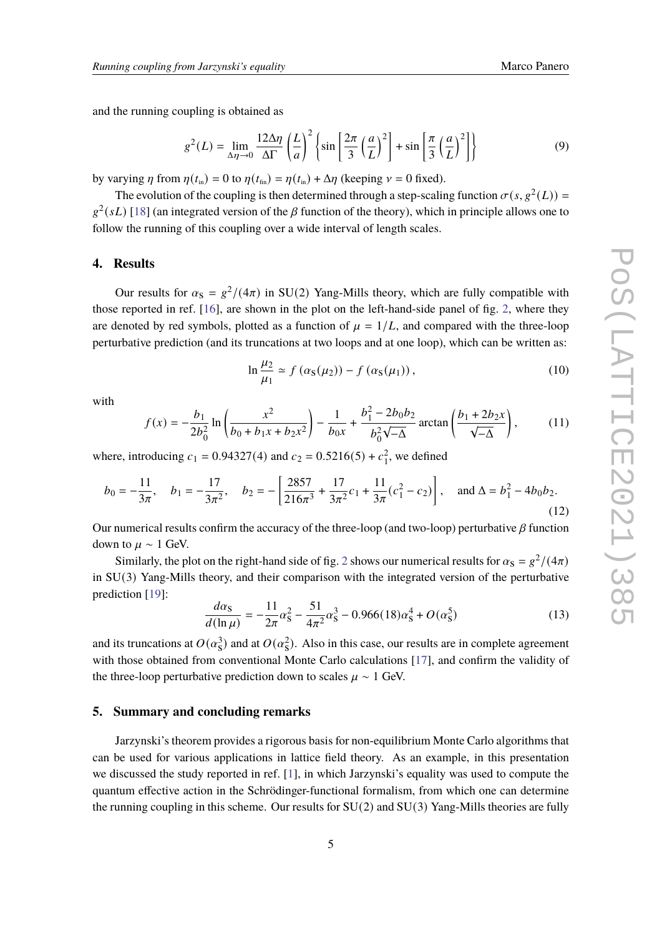and the running coupling is obtained as

$$
g^{2}(L) = \lim_{\Delta \eta \to 0} \frac{12\Delta \eta}{\Delta \Gamma} \left(\frac{L}{a}\right)^{2} \left\{ \sin \left[\frac{2\pi}{3} \left(\frac{a}{L}\right)^{2}\right] + \sin \left[\frac{\pi}{3} \left(\frac{a}{L}\right)^{2}\right] \right\}
$$
(9)

by varying  $\eta$  from  $\eta(t_{in}) = 0$  to  $\eta(t_{in}) = \eta(t_{in}) + \Delta \eta$  (keeping  $\nu = 0$  fixed).

The evolution of the coupling is then determined through a step-scaling function  $\sigma(s, g^2(L))$  $g^2(sL)$  [\[18\]](#page-6-12) (an integrated version of the  $\beta$  function of the theory), which in principle allows one to follow the running of this coupling over a wide interval of length scales.

#### **4. Results**

Our results for  $\alpha_s = g^2/(4\pi)$  in SU(2) Yang-Mills theory, which are fully compatible with those reported in ref. [\[16\]](#page-6-10), are shown in the plot on the left-hand-side panel of fig. [2,](#page-5-2) where they are denoted by red symbols, plotted as a function of  $\mu = 1/L$ , and compared with the three-loop perturbative prediction (and its truncations at two loops and at one loop), which can be written as:

<span id="page-4-0"></span>
$$
\ln \frac{\mu_2}{\mu_1} \simeq f\left(\alpha_S(\mu_2)\right) - f\left(\alpha_S(\mu_1)\right),\tag{10}
$$

with

$$
f(x) = -\frac{b_1}{2b_0^2} \ln \left( \frac{x^2}{b_0 + b_1 x + b_2 x^2} \right) - \frac{1}{b_0 x} + \frac{b_1^2 - 2b_0 b_2}{b_0^2 \sqrt{-\Delta}} \arctan \left( \frac{b_1 + 2b_2 x}{\sqrt{-\Delta}} \right),\tag{11}
$$

where, introducing  $c_1 = 0.94327(4)$  and  $c_2 = 0.5216(5) + c_1^2$ , we defined

$$
b_0 = -\frac{11}{3\pi}, \quad b_1 = -\frac{17}{3\pi^2}, \quad b_2 = -\left[\frac{2857}{216\pi^3} + \frac{17}{3\pi^2}c_1 + \frac{11}{3\pi}(c_1^2 - c_2)\right], \quad \text{and } \Delta = b_1^2 - 4b_0b_2.
$$
\n(12)

Our numerical results confirm the accuracy of the three-loop (and two-loop) perturbative  $\beta$  function down to  $\mu \sim 1$  GeV.

Similarly, the plot on the right-hand side of fig. [2](#page-5-2) shows our numerical results for  $\alpha_s = g^2/(4\pi)$ in SU(3) Yang-Mills theory, and their comparison with the integrated version of the perturbative prediction [\[19\]](#page-6-13):

<span id="page-4-1"></span>
$$
\frac{d\alpha_{\rm S}}{d(\ln \mu)} = -\frac{11}{2\pi}\alpha_{\rm S}^2 - \frac{51}{4\pi^2}\alpha_{\rm S}^3 - 0.966(18)\alpha_{\rm S}^4 + O(\alpha_{\rm S}^5)
$$
(13)

and its truncations at  $O(\alpha_s^3)$  and at  $O(\alpha_s^2)$ . Also in this case, our results are in complete agreement with those obtained from conventional Monte Carlo calculations [\[17\]](#page-6-11), and confirm the validity of the three-loop perturbative prediction down to scales  $\mu \sim 1$  GeV.

# **5. Summary and concluding remarks**

Jarzynski's theorem provides a rigorous basis for non-equilibrium Monte Carlo algorithms that can be used for various applications in lattice field theory. As an example, in this presentation we discussed the study reported in ref. [\[1\]](#page-5-0), in which Jarzynski's equality was used to compute the quantum effective action in the Schrödinger-functional formalism, from which one can determine the running coupling in this scheme. Our results for  $SU(2)$  and  $SU(3)$  Yang-Mills theories are fully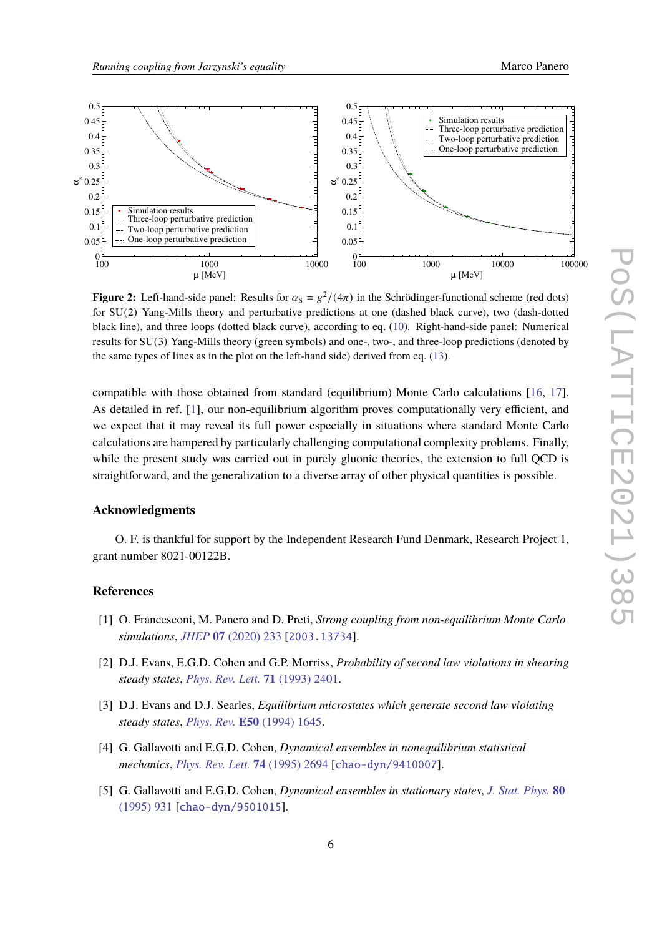<span id="page-5-2"></span>

**Figure 2:** Left-hand-side panel: Results for  $\alpha_s = g^2/(4\pi)$  in the Schrödinger-functional scheme (red dots) for SU(2) Yang-Mills theory and perturbative predictions at one (dashed black curve), two (dash-dotted black line), and three loops (dotted black curve), according to eq. [\(10\)](#page-4-0). Right-hand-side panel: Numerical results for SU(3) Yang-Mills theory (green symbols) and one-, two-, and three-loop predictions (denoted by the same types of lines as in the plot on the left-hand side) derived from eq. [\(13\)](#page-4-1).

compatible with those obtained from standard (equilibrium) Monte Carlo calculations [\[16,](#page-6-10) [17\]](#page-6-11). As detailed in ref. [\[1\]](#page-5-0), our non-equilibrium algorithm proves computationally very efficient, and we expect that it may reveal its full power especially in situations where standard Monte Carlo calculations are hampered by particularly challenging computational complexity problems. Finally, while the present study was carried out in purely gluonic theories, the extension to full OCD is straightforward, and the generalization to a diverse array of other physical quantities is possible.

#### **Acknowledgments**

O. F. is thankful for support by the Independent Research Fund Denmark, Research Project 1, grant number 8021-00122B.

### **References**

- <span id="page-5-0"></span>[1] O. Francesconi, M. Panero and D. Preti, *Strong coupling from non-equilibrium Monte Carlo simulations*, *JHEP* **07** [\(2020\) 233](https://doi.org/10.1007/JHEP07(2020)233) [[2003.13734](https://arxiv.org/abs/2003.13734)].
- <span id="page-5-1"></span>[2] D.J. Evans, E.G.D. Cohen and G.P. Morriss, *Probability of second law violations in shearing steady states*, *[Phys. Rev. Lett.](https://doi.org/10.1103/PhysRevLett.71.2401)* **71** (1993) 2401.
- [3] D.J. Evans and D.J. Searles, *Equilibrium microstates which generate second law violating steady states*, *[Phys. Rev.](https://doi.org/10.1103/PhysRevE.50.1645)* **E50** (1994) 1645.
- [4] G. Gallavotti and E.G.D. Cohen, *Dynamical ensembles in nonequilibrium statistical mechanics*, *[Phys. Rev. Lett.](https://doi.org/10.1103/PhysRevLett.74.2694)* **74** (1995) 2694 [[chao-dyn/9410007](https://arxiv.org/abs/chao-dyn/9410007)].
- [5] G. Gallavotti and E.G.D. Cohen, *Dynamical ensembles in stationary states*, *[J. Stat. Phys.](https://doi.org/10.1007/BF02179860)* **80** [\(1995\) 931](https://doi.org/10.1007/BF02179860) [[chao-dyn/9501015](https://arxiv.org/abs/chao-dyn/9501015)].